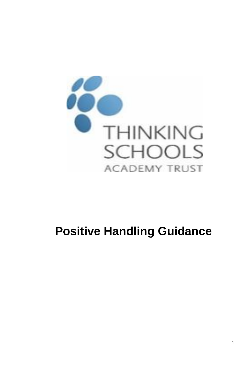

# **Positive Handling Guidance**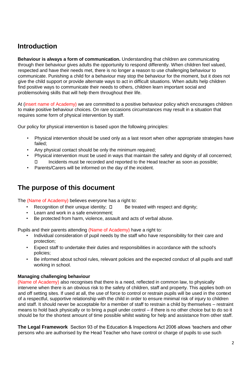### **Introduction**

**Behaviour is always a form of communication.** Understanding that children are communicating through their behaviour gives adults the opportunity to respond differently. When children feel valued, respected and have their needs met, there is no longer a reason to use challenging behaviour to communicate. Punishing a child for a behaviour may stop the behaviour for the moment, but it does not give the child support or provide alternate ways to act in difficult situations. When adults help children find positive ways to communicate their needs to others, children learn important social and problemsolving skills that will help them throughout their life.

At (insert name of Academy) we are committed to a positive behaviour policy which encourages children to make positive behaviour choices. On rare occasions circumstances may result in a situation that requires some form of physical intervention by staff.

Our policy for physical intervention is based upon the following principles:

- Physical intervention should be used only as a last resort when other appropriate strategies have failed;
- Any physical contact should be only the minimum required;
- Physical intervention must be used in ways that maintain the safety and dignity of all concerned; Incidents must be recorded and reported to the Head teacher as soon as possible;  $\Box$
- Parents/Carers will be informed on the day of the incident.

### **The purpose of this document**

The (Name of Academy) believes everyone has a right to:

- Recognition of their unique identity;  $\Box$  Be treated with respect and dignity;
- Learn and work in a safe environment;
- Be protected from harm, violence, assault and acts of verbal abuse.

Pupils and their parents attending (Name of Academy) have a right to:

- Individual consideration of pupil needs by the staff who have responsibility for their care and protection;
- Expect staff to undertake their duties and responsibilities in accordance with the school's policies;
- Be informed about school rules, relevant policies and the expected conduct of all pupils and staff working in school.

#### **Managing challenging behaviour**

(Name of Academy) also recognises that there is a need, reflected in common law, to physically intervene when there is an obvious risk to the safety of children, staff and property. This applies both on and off setting sites. If used at all, the use of force to control or restrain pupils will be used in the context of a respectful, supportive relationship with the child in order to ensure minimal risk of injury to children and staff. It should never be acceptable for a member of staff to restrain a child by themselves – restraint means to hold back physically or to bring a pupil under control – if there is no other choice but to do so it should be for the shortest amount of time possible whilst waiting for help and assistance from other staff.

**The Legal Framework** Section 93 of the Education & Inspections Act 2006 allows 'teachers and other persons who are authorised by the Head Teacher who have control or charge of pupils to use such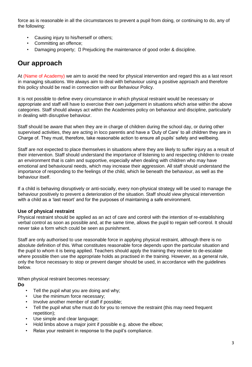force as is reasonable in all the circumstances to prevent a pupil from doing, or continuing to do, any of the following:

- Causing injury to his/herself or others;
- Committing an offence;
- Damaging property;  $\square$  Prejudicing the maintenance of good order & discipline.

### **Our approach**

At (Name of Academy) we aim to avoid the need for physical intervention and regard this as a last resort in managing situations. We always aim to deal with behaviour using a positive approach and therefore this policy should be read in connection with our Behaviour Policy.

It is not possible to define every circumstance in which physical restraint would be necessary or appropriate and staff will have to exercise their own judgement in situations which arise within the above categories. Staff should always act within the Academies policy on behaviour and discipline, particularly in dealing with disruptive behaviour.

Staff should be aware that when they are in charge of children during the school day, or during other supervised activities, they are acting in loco parentis and have a 'Duty of Care' to all children they are in Charge of. They must, therefore, take reasonable action to ensure all pupils' safety and wellbeing.

Staff are not expected to place themselves in situations where they are likely to suffer injury as a result of their intervention. Staff should understand the importance of listening to and respecting children to create an environment that is calm and supportive, especially when dealing with children who may have emotional and behavioural needs, which may increase their aggression. All staff should understand the importance of responding to the feelings of the child, which lie beneath the behaviour, as well as the behaviour itself.

If a child is behaving disruptively or anti-socially, every non-physical strategy will be used to manage the behaviour positively to prevent a deterioration of the situation. Staff should view physical intervention with a child as a 'last resort' and for the purposes of maintaining a safe environment.

#### **Use of physical restraint**

Physical restraint should be applied as an act of care and control with the intention of re-establishing verbal control as soon as possible and, at the same time, allows the pupil to regain self-control. It should never take a form which could be seen as punishment.

Staff are only authorised to use reasonable force in applying physical restraint, although there is no absolute definition of this. What constitutes reasonable force depends upon the particular situation and the pupil to whom it is being applied. Teachers should apply the training they receive to de-escalate where possible then use the appropriate holds as practised in the training. However, as a general rule, only the force necessary to stop or prevent danger should be used, in accordance with the guidelines below.

When physical restraint becomes necessary:

**Do** 

- Tell the pupil what you are doing and why;
- Use the minimum force necessary;
- Involve another member of staff if possible;
- Tell the pupil what s/he must do for you to remove the restraint (this may need frequent repetition);
- Use simple and clear language;
- Hold limbs above a major joint if possible e.g. above the elbow;
- Relax your restraint in response to the pupil's compliance.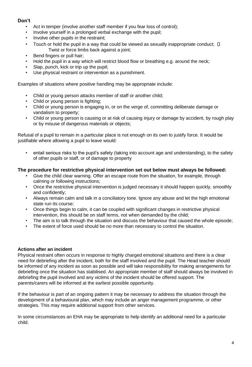#### **Don't**

- Act in temper (involve another staff member if you fear loss of control);
- Involve yourself in a prolonged verbal exchange with the pupil;
- Involve other pupils in the restraint;
- Touch or hold the pupil in a way that could be viewed as sexually inappropriate conduct;  $\Box$ Twist or force limbs back against a joint;
- Bend fingers or pull hair;
- Hold the pupil in a way which will restrict blood flow or breathing e.g. around the neck;
- Slap, punch, kick or trip up the pupil;
- Use physical restraint or intervention as a punishment.

Examples of situations where positive handling may be appropriate include:

- Child or young person attacks member of staff or another child;
- Child or young person is fighting;
- Child or young person is engaging in, or on the verge of, committing deliberate damage or vandalism to property;
- Child or young person is causing or at risk of causing injury or damage by accident, by rough play or by misuse of dangerous materials or objects;

Refusal of a pupil to remain in a particular place is not enough on its own to justify force. It would be justifiable where allowing a pupil to leave would:

• entail serious risks to the pupil's safety (taking into account age and understanding), to the safety of other pupils or staff, or of damage to property

#### **The procedure for restrictive physical intervention set out below must always be followed:**

- Give the child clear warning. Offer an escape route from the situation, for example, through calming or following instructions;
- Once the restrictive physical intervention is judged necessary it should happen quickly, smoothly and confidently;
- Always remain calm and talk in a conciliatory tone. Ignore any abuse and let the high emotional state run its course;
- Once things begin to calm, it can be coupled with significant changes in restrictive physical intervention, this should be on staff terms, not when demanded by the child;
- The aim is to talk through the situation and discuss the behaviour that caused the whole episode;
- The extent of force used should be no more than necessary to control the situation.

#### **Actions after an incident**

Physical restraint often occurs in response to highly charged emotional situations and there is a clear need for debriefing after the incident, both for the staff involved and the pupil. The Head teacher should be informed of any incident as soon as possible and will take responsibility for making arrangements for debriefing once the situation has stabilised. An appropriate member of staff should always be involved in debriefing the pupil involved and any victims of the incident should be offered support. The parents/carers will be informed at the earliest possible opportunity.

If the behaviour is part of an ongoing pattern it may be necessary to address the situation through the development of a behavioural plan, which may include an anger management programme, or other strategies. This may require additional support from other services.

In some circumstances an EHA may be appropriate to help identify an additional need for a particular child.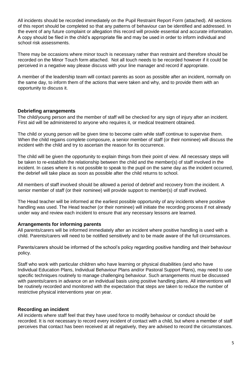All incidents should be recorded immediately on the Pupil Restraint Report Form (attached). All sections of this report should be completed so that any patterns of behaviour can be identified and addressed. In the event of any future complaint or allegation this record will provide essential and accurate information. A copy should be filed in the child's appropriate file and may be used in order to inform individual and school risk assessments.

There may be occasions where minor touch is necessary rather than restraint and therefore should be recorded on the Minor Touch form attached. Not all touch needs to be recorded however if it could be perceived in a negative way please discuss with your line manager and record if appropriate.

A member of the leadership team will contact parents as soon as possible after an incident, normally on the same day, to inform them of the actions that were taken and why, and to provide them with an opportunity to discuss it.

#### **Debriefing arrangements**

The child/young person and the member of staff will be checked for any sign of injury after an incident. First aid will be administered to anyone who requires it, or medical treatment obtained.

The child or young person will be given time to become calm while staff continue to supervise them. When the child regains complete composure, a senior member of staff (or their nominee) will discuss the incident with the child and try to ascertain the reason for its occurrence.

The child will be given the opportunity to explain things from their point of view. All necessary steps will be taken to re-establish the relationship between the child and the member(s) of staff involved in the incident. In cases where it is not possible to speak to the pupil on the same day as the incident occurred, the debrief will take place as soon as possible after the child returns to school.

All members of staff involved should be allowed a period of debrief and recovery from the incident. A senior member of staff (or their nominee) will provide support to member(s) of staff involved.

The Head teacher will be informed at the earliest possible opportunity of any incidents where positive handling was used. The Head teacher (or their nominee) will initiate the recording process if not already under way and review each incident to ensure that any necessary lessons are learned.

#### **Arrangements for informing parents**

All parents/carers will be informed immediately after an incident where positive handling is used with a child. Parents/carers will need to be notified sensitively and to be made aware of the full circumstances.

Parents/carers should be informed of the school's policy regarding positive handling and their behaviour policy.

Staff who work with particular children who have learning or physical disabilities (and who have Individual Education Plans, Individual Behaviour Plans and/or Pastoral Support Plans), may need to use specific techniques routinely to manage challenging behaviour. Such arrangements must be discussed with parents/carers in advance on an individual basis using positive handling plans. All interventions will be routinely recorded and monitored with the expectation that steps are taken to reduce the number of restrictive physical interventions year on year.

#### **Recording an incident**

All incidents where staff feel that they have used force to modify behaviour or conduct should be recorded. It is not necessary to record every incident of contact with a child, but where a member of staff perceives that contact has been received at all negatively, they are advised to record the circumstances.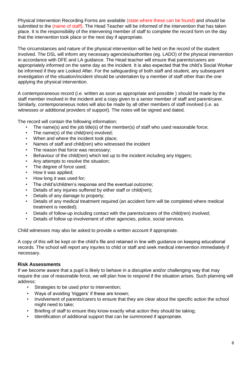Physical Intervention Recording Forms are available (state where these can be found) and should be submitted to the (name of staff). The Head Teacher will be informed of the intervention that has taken place. It is the responsibility of the intervening member of staff to complete the record form on the day that the intervention took place or the next day if appropriate.

The circumstances and nature of the physical intervention will be held on the record of the student involved. The DSL will inform any necessary agencies/authorities (eg. LADO) of the physical intervention in accordance with DFE and LA guidance. The Head teacher will ensure that parents/carers are appropriately informed on the same day as the incident. It is also expected that the child's Social Worker be informed if they are Looked After. For the safeguarding of both staff and student, any subsequent investigation of the situation/incident should be undertaken by a member of staff other than the one applying the physical intervention.

A contemporaneous record (i.e. written as soon as appropriate and possible ) should be made by the staff member involved in the incident and a copy given to a senior member of staff and parent/carer. Similarly, contemporaneous notes will also be made by all other members of staff involved (i.e. as witnesses or additional providers of support). The notes will be signed and dated.

The record will contain the following information:

- The name(s) and the job title(s) of the member(s) of staff who used reasonable force;
- The name(s) of the child(ren) involved;
- When and where the incident took place;
- Names of staff and child(ren) who witnessed the incident
- The reason that force was necessary;
- Behaviour of the child(ren) which led up to the incident including any triggers;
- Any attempts to resolve the situation;
- The degree of force used;
- How it was applied;
- How long it was used for;
- The child's/children's response and the eventual outcome;
- Details of any injuries suffered by either staff or child(ren);
- Details of any damage to property;
- Details of any medical treatment required (an accident form will be completed where medical treatment is needed);
- Details of follow-up including contact with the parents/carers of the child(ren) involved;
- Details of follow up involvement of other agencies, police, social services.

Child witnesses may also be asked to provide a written account if appropriate.

A copy of this will be kept on the child's file and retained in line with guidance on keeping educational records. The school will report any injuries to child or staff and seek medical intervention immediately if necessary.

#### **Risk Assessments**

If we become aware that a pupil is likely to behave in a disruptive and/or challenging way that may require the use of reasonable force, we will plan how to respond if the situation arises. Such planning will address:

- Strategies to be used prior to intervention;
- Ways of avoiding 'triggers' if these are known;
- Involvement of parents/carers to ensure that they are clear about the specific action the school might need to take;
- Briefing of staff to ensure they know exactly what action they should be taking;
- Identification of additional support that can be summoned if appropriate.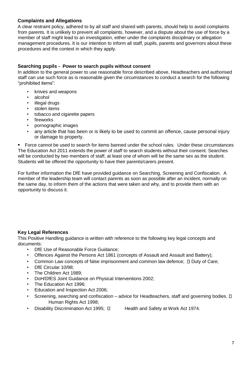#### **Complaints and Allegations**

A clear restraint policy, adhered to by all staff and shared with parents, should help to avoid complaints from parents. It is unlikely to prevent all complaints, however, and a dispute about the use of force by a member of staff might lead to an investigation, either under the complaints disciplinary or allegation management procedures. It is our intention to inform all staff, pupils, parents and governors about these procedures and the context in which they apply.

#### **Searching pupils - Power to search pupils without consent**

In addition to the general power to use reasonable force described above, Headteachers and authorised staff can use such force as is reasonable given the circumstances to conduct a search for the following "prohibited items":

- knives and weapons
- alcohol
- illegal drugs
- stolen items
- tobacco and cigarette papers
- **fireworks**
- pornographic images
- any article that has been or is likely to be used to commit an offence, cause personal injury or damage to property.

Force cannot be used to search for items banned under the school rules. Under these circumstances The Education Act 2011 extends the power of staff to search students without their consent. Searches will be conducted by two members of staff, at least one of whom will be the same sex as the student. Students will be offered the opportunity to have their parents/carers present.

For further information the DfE have provided guidance on Searching, Screening and Confiscation. A member of the leadership team will contact parents as soon as possible after an incident, normally on the same day, to inform them of the actions that were taken and why, and to provide them with an opportunity to discuss it.

#### **Key Legal References**

This Positive Handling guidance is written with reference to the following key legal concepts and documents:

- DfE Use of Reasonable Force Guidance;
- Offences Against the Persons Act 1861 (concepts of Assault and Assault and Battery);
- Common Law concepts of false imprisonment and common law defence;  $\Box$  Duty of Care;
- DfE Circular 10/98;
- The Children Act 1989;
- DoH/DfES Joint Guidance on Physical Interventions 2002;
- The Education Act 1996;
- Education and Inspection Act 2006;
- Screening, searching and confiscation advice for Headteachers, staff and governing bodies.  $\square$ Human Rights Act 1998;
- Disability Discrimination Act 1995;  $\Box$  Health and Safety at Work Act 1974.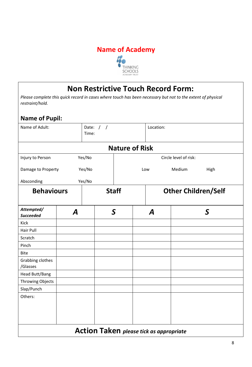

# **Non Restrictive Touch Record Form:**

*Please complete this quick record in cases where touch has been necessary but not to the extent of physical restraint/hold.* 

### **Name of Pupil:**

| Date: $/ /$<br>Name of Adult:<br>Time: |                  |               | Location:                                      |                            |               |
|----------------------------------------|------------------|---------------|------------------------------------------------|----------------------------|---------------|
|                                        |                  |               | <b>Nature of Risk</b>                          |                            |               |
| Injury to Person                       |                  | Yes/No        |                                                | Circle level of risk:      |               |
| Yes/No<br>Damage to Property           |                  |               | Low                                            | Medium                     | High          |
| Absconding<br>Yes/No                   |                  |               |                                                |                            |               |
| <b>Behaviours</b>                      |                  | <b>Staff</b>  |                                                | <b>Other Children/Self</b> |               |
| Attempted/<br><b>Succeeded</b>         | $\boldsymbol{A}$ | $\mathcal{S}$ | A                                              |                            | $\mathcal{S}$ |
| Kick                                   |                  |               |                                                |                            |               |
| <b>Hair Pull</b>                       |                  |               |                                                |                            |               |
| Scratch                                |                  |               |                                                |                            |               |
| Pinch                                  |                  |               |                                                |                            |               |
| <b>Bite</b>                            |                  |               |                                                |                            |               |
| Grabbing clothes<br>/Glasses           |                  |               |                                                |                            |               |
| Head Butt/Bang                         |                  |               |                                                |                            |               |
| Throwing Objects                       |                  |               |                                                |                            |               |
| Slap/Punch                             |                  |               |                                                |                            |               |
| Others:                                |                  |               |                                                |                            |               |
|                                        |                  |               | <b>Action Taken</b> please tick as appropriate |                            |               |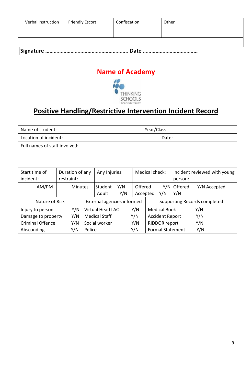| Verbal Instruction | <b>Friendly Escort</b> | Confiscation | Other |
|--------------------|------------------------|--------------|-------|
|                    |                        |              |       |

## **Name of Academy**



# **Positive Handling/Restrictive Intervention Incident Record**

| Name of student:              |                 | Year/Class:    |                            |     |          |                |                        |                         |                              |
|-------------------------------|-----------------|----------------|----------------------------|-----|----------|----------------|------------------------|-------------------------|------------------------------|
| Location of incident:         |                 | Date:          |                            |     |          |                |                        |                         |                              |
| Full names of staff involved: |                 |                |                            |     |          |                |                        |                         |                              |
|                               |                 |                |                            |     |          |                |                        |                         |                              |
|                               |                 |                |                            |     |          |                |                        |                         |                              |
| Start time of                 | Duration of any |                | Any Injuries:              |     |          | Medical check: |                        |                         | Incident reviewed with young |
| incident:                     | restraint:      |                |                            |     |          |                | person:                |                         |                              |
| AM/PM                         |                 | <b>Minutes</b> | Student                    | Y/N | Offered  |                | Y/N                    | Offered                 | Y/N Accepted                 |
|                               |                 |                | Adult                      | Y/N | Accepted |                | Y/N                    | Y/N                     |                              |
| Nature of Risk                |                 |                | External agencies informed |     |          |                |                        |                         | Supporting Records completed |
| Injury to person              | Y/N             |                | <b>Virtual Head LAC</b>    |     | Y/N      |                | <b>Medical Book</b>    |                         | Y/N                          |
| Damage to property            | Y/N             |                | <b>Medical Staff</b>       |     | Y/N      |                | <b>Accident Report</b> |                         | Y/N                          |
| <b>Criminal Offence</b>       | Y/N             |                | Social worker              |     | Y/N      |                | <b>RIDDOR report</b>   |                         | Y/N                          |
| Absconding                    | Y/N             | Police         |                            |     | Y/N      |                |                        | <b>Formal Statement</b> | Y/N                          |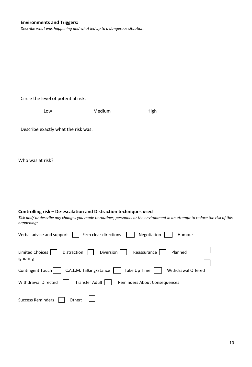| <b>Environments and Triggers:</b>                                     |                         |                                                                                                                               |  |
|-----------------------------------------------------------------------|-------------------------|-------------------------------------------------------------------------------------------------------------------------------|--|
| Describe what was happening and what led up to a dangerous situation: |                         |                                                                                                                               |  |
|                                                                       |                         |                                                                                                                               |  |
|                                                                       |                         |                                                                                                                               |  |
|                                                                       |                         |                                                                                                                               |  |
|                                                                       |                         |                                                                                                                               |  |
|                                                                       |                         |                                                                                                                               |  |
|                                                                       |                         |                                                                                                                               |  |
|                                                                       |                         |                                                                                                                               |  |
|                                                                       |                         |                                                                                                                               |  |
|                                                                       |                         |                                                                                                                               |  |
| Circle the level of potential risk:                                   |                         |                                                                                                                               |  |
|                                                                       |                         |                                                                                                                               |  |
| Low                                                                   | Medium                  | High                                                                                                                          |  |
|                                                                       |                         |                                                                                                                               |  |
| Describe exactly what the risk was:                                   |                         |                                                                                                                               |  |
|                                                                       |                         |                                                                                                                               |  |
|                                                                       |                         |                                                                                                                               |  |
|                                                                       |                         |                                                                                                                               |  |
| Who was at risk?                                                      |                         |                                                                                                                               |  |
|                                                                       |                         |                                                                                                                               |  |
|                                                                       |                         |                                                                                                                               |  |
|                                                                       |                         |                                                                                                                               |  |
|                                                                       |                         |                                                                                                                               |  |
|                                                                       |                         |                                                                                                                               |  |
|                                                                       |                         |                                                                                                                               |  |
|                                                                       |                         |                                                                                                                               |  |
| Controlling risk - De-escalation and Distraction techniques used      |                         |                                                                                                                               |  |
| happening:                                                            |                         | Tick and/ or describe any changes you made to routines, personnel or the environment in an attempt to reduce the risk of this |  |
|                                                                       |                         |                                                                                                                               |  |
| Verbal advice and support $\vert \cdot \vert$ Firm clear directions   |                         | Negotiation<br>Humour                                                                                                         |  |
|                                                                       |                         |                                                                                                                               |  |
| Limited Choices  <br>Distraction                                      | Diversion               | Reassurance<br>Planned                                                                                                        |  |
| ignoring                                                              |                         |                                                                                                                               |  |
|                                                                       |                         |                                                                                                                               |  |
| Contingent Touch                                                      | C.A.L.M. Talking/Stance | Take Up Time<br>Withdrawal Offered                                                                                            |  |
|                                                                       |                         |                                                                                                                               |  |
| Withdrawal Directed                                                   | Transfer Adult          | Reminders About Consequences                                                                                                  |  |
|                                                                       |                         |                                                                                                                               |  |
| <b>Success Reminders</b><br>Other:                                    |                         |                                                                                                                               |  |
|                                                                       |                         |                                                                                                                               |  |
|                                                                       |                         |                                                                                                                               |  |
|                                                                       |                         |                                                                                                                               |  |
|                                                                       |                         |                                                                                                                               |  |
|                                                                       |                         |                                                                                                                               |  |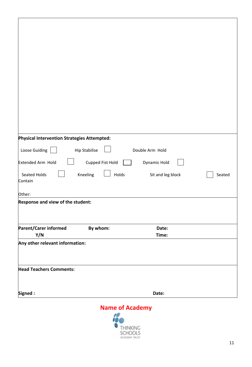| Physical Intervention Strategies Attempted: |                      |                   |        |
|---------------------------------------------|----------------------|-------------------|--------|
| Loose Guiding                               | <b>Hip Stabilise</b> | Double Arm Hold   |        |
| Extended Arm Hold                           | Cupped Fist Hold     | Dynamic Hold      |        |
| Seated Holds                                | Kneeling<br>Holds    | Sit and leg block | Seated |
| Contain                                     |                      |                   |        |
| Other:                                      |                      |                   |        |
| Response and view of the student:           |                      |                   |        |
|                                             |                      |                   |        |
|                                             |                      | Date:             |        |
| <b>Parent/Carer informed</b><br>Y/N         | By whom:             | Time:             |        |
| Any other relevant information:             |                      |                   |        |
|                                             |                      |                   |        |
|                                             |                      |                   |        |
| <b>Head Teachers Comments:</b>              |                      |                   |        |
|                                             |                      |                   |        |
| Signed:                                     |                      | Date:             |        |
|                                             | Name of Academy      |                   |        |

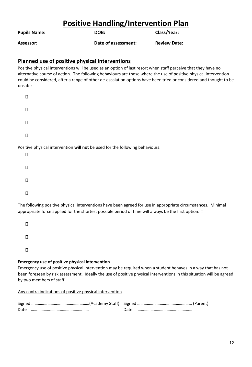# **Positive Handling/Intervention Plan**

| <b>Pupils Name:</b> | DOB: | <b>Class/Year:</b> |
|---------------------|------|--------------------|
|                     |      |                    |

**Assessor: Date of assessment: Review Date:** 

#### **Planned use of positive physical interventions**

Positive physical interventions will be used as an option of last resort when staff perceive that they have no alternative course of action. The following behaviours are those where the use of positive physical intervention could be considered, after a range of other de-escalation options have been tried or considered and thought to be unsafe:

| П |  |  |  |
|---|--|--|--|
| П |  |  |  |
| Ο |  |  |  |
| Π |  |  |  |

Positive physical intervention **will not** be used for the following behaviours:

| Ω      |  |  |  |
|--------|--|--|--|
| $\Box$ |  |  |  |
| $\Box$ |  |  |  |
| О      |  |  |  |

The following positive physical interventions have been agreed for use in appropriate circumstances. Minimal appropriate force applied for the shortest possible period of time will always be the first option:  $\square$ 

 $\Box$  $\Box$  $\Box$ 

#### **Emergency use of positive physical intervention**

Emergency use of positive physical intervention may be required when a student behaves in a way that has not been foreseen by risk assessment. Ideally the use of positive physical interventions in this situation will be agreed by two members of staff.

Any contra indications of positive physical intervention

| Date |  |  |
|------|--|--|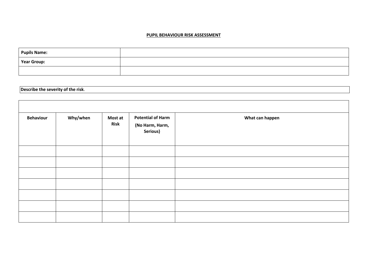#### **PUPIL BEHAVIOUR RISK ASSESSMENT**

| <b>Pupils Name:</b> |  |
|---------------------|--|
| <b>Year Group:</b>  |  |
|                     |  |

**Describe the severity of the risk**.

Г

| <b>Behaviour</b> | Why/when | Most at<br><b>Risk</b> | <b>Potential of Harm</b><br>(No Harm, Harm,<br>Serious) | What can happen |
|------------------|----------|------------------------|---------------------------------------------------------|-----------------|
|                  |          |                        |                                                         |                 |
|                  |          |                        |                                                         |                 |
|                  |          |                        |                                                         |                 |
|                  |          |                        |                                                         |                 |
|                  |          |                        |                                                         |                 |
|                  |          |                        |                                                         |                 |
|                  |          |                        |                                                         |                 |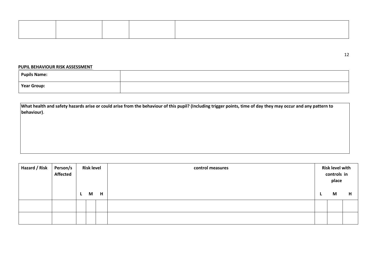#### **PUPIL BEHAVIOUR RISK ASSESSMENT**

| <b>Pupils Name:</b> |  |
|---------------------|--|
| Year Group:         |  |

**What health and safety hazards arise or could arise from the behaviour of this pupil? (Including trigger points, time of day they may occur and any pattern to behaviour)**.

| Hazard / Risk | Person/s<br>Affected | <b>Risk level</b><br>H<br>M<br><b>L</b> |  |  | control measures | <b>Risk level with</b><br>controls in<br>place<br>M | H |
|---------------|----------------------|-----------------------------------------|--|--|------------------|-----------------------------------------------------|---|
|               |                      |                                         |  |  |                  |                                                     |   |
|               |                      |                                         |  |  |                  |                                                     |   |

12